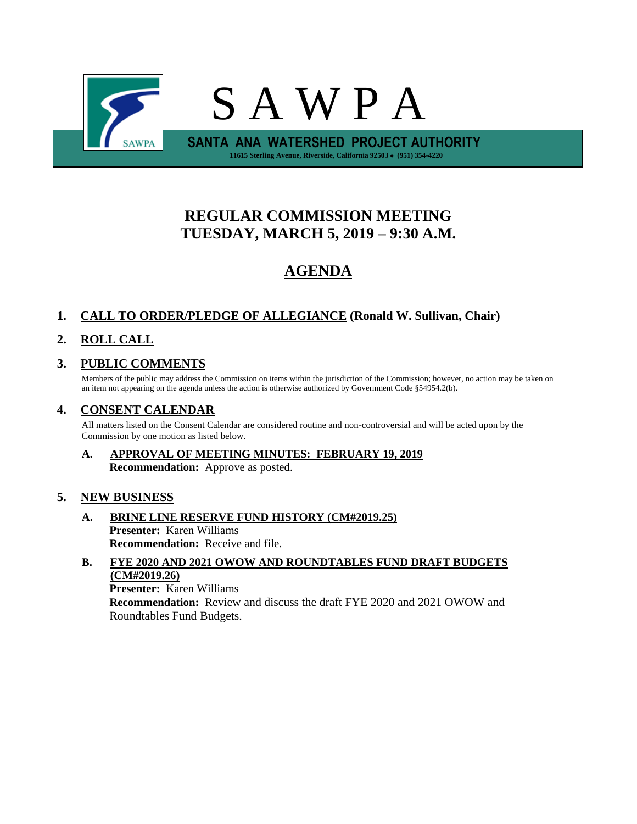

# **REGULAR COMMISSION MEETING TUESDAY, MARCH 5, 2019 – 9:30 A.M.**

# **AGENDA**

# **1. CALL TO ORDER/PLEDGE OF ALLEGIANCE (Ronald W. Sullivan, Chair)**

# **2. ROLL CALL**

# **3. PUBLIC COMMENTS**

Members of the public may address the Commission on items within the jurisdiction of the Commission; however, no action may be taken on an item not appearing on the agenda unless the action is otherwise authorized by Government Code §54954.2(b).

## **4. CONSENT CALENDAR**

All matters listed on the Consent Calendar are considered routine and non-controversial and will be acted upon by the Commission by one motion as listed below.

**A. APPROVAL OF MEETING MINUTES: FEBRUARY 19, 2019 Recommendation:** Approve as posted.

### **5. NEW BUSINESS**

- **A. BRINE LINE RESERVE FUND HISTORY (CM#2019.25) Presenter:** Karen Williams **Recommendation:** Receive and file.
- **B. FYE 2020 AND 2021 OWOW AND ROUNDTABLES FUND DRAFT BUDGETS (CM#2019.26) Presenter:** Karen Williams **Recommendation:** Review and discuss the draft FYE 2020 and 2021 OWOW and Roundtables Fund Budgets.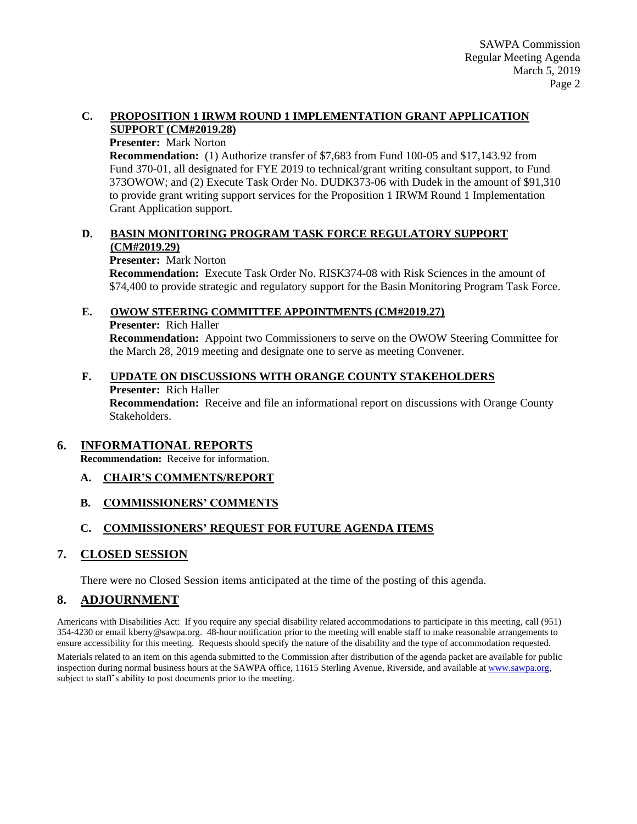#### **C. PROPOSITION 1 IRWM ROUND 1 IMPLEMENTATION GRANT APPLICATION SUPPORT (CM#2019.28)**

#### **Presenter:** Mark Norton

**Recommendation:** (1) Authorize transfer of \$7,683 from Fund 100-05 and \$17,143.92 from Fund 370-01, all designated for FYE 2019 to technical/grant writing consultant support, to Fund 373OWOW; and (2) Execute Task Order No. DUDK373-06 with Dudek in the amount of \$91,310 to provide grant writing support services for the Proposition 1 IRWM Round 1 Implementation Grant Application support.

#### **D. BASIN MONITORING PROGRAM TASK FORCE REGULATORY SUPPORT (CM#2019.29)**

#### **Presenter:** Mark Norton

**Recommendation:** Execute Task Order No. RISK374-08 with Risk Sciences in the amount of \$74,400 to provide strategic and regulatory support for the Basin Monitoring Program Task Force.

#### **E. OWOW STEERING COMMITTEE APPOINTMENTS (CM#2019.27)**

#### **Presenter:** Rich Haller

**Recommendation:** Appoint two Commissioners to serve on the OWOW Steering Committee for the March 28, 2019 meeting and designate one to serve as meeting Convener.

#### **F. UPDATE ON DISCUSSIONS WITH ORANGE COUNTY STAKEHOLDERS Presenter:** Rich Haller

**Recommendation:** Receive and file an informational report on discussions with Orange County Stakeholders.

### **6. INFORMATIONAL REPORTS**

**Recommendation:** Receive for information.

**A. CHAIR'S COMMENTS/REPORT**

### **B. COMMISSIONERS' COMMENTS**

### **C. COMMISSIONERS' REQUEST FOR FUTURE AGENDA ITEMS**

### **7. CLOSED SESSION**

There were no Closed Session items anticipated at the time of the posting of this agenda.

### **8. ADJOURNMENT**

Americans with Disabilities Act: If you require any special disability related accommodations to participate in this meeting, call (951) 354-4230 or email kberry@sawpa.org. 48-hour notification prior to the meeting will enable staff to make reasonable arrangements to ensure accessibility for this meeting. Requests should specify the nature of the disability and the type of accommodation requested.

Materials related to an item on this agenda submitted to the Commission after distribution of the agenda packet are available for public inspection during normal business hours at the SAWPA office, 11615 Sterling Avenue, Riverside, and available a[t www.sawpa.org,](http://www.sawpa.org/) subject to staff's ability to post documents prior to the meeting.